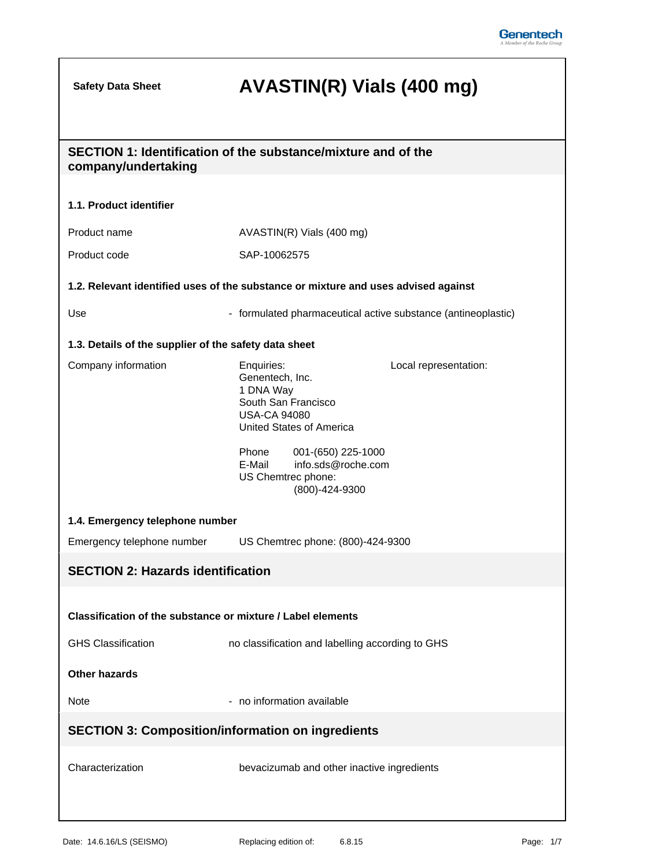| <b>Safety Data Sheet</b>                                                                                         | AVASTIN(R) Vials (400 mg)                                                                                                                                                                                                                            |
|------------------------------------------------------------------------------------------------------------------|------------------------------------------------------------------------------------------------------------------------------------------------------------------------------------------------------------------------------------------------------|
| company/undertaking                                                                                              | SECTION 1: Identification of the substance/mixture and of the                                                                                                                                                                                        |
| 1.1. Product identifier                                                                                          |                                                                                                                                                                                                                                                      |
| Product name                                                                                                     | AVASTIN(R) Vials (400 mg)                                                                                                                                                                                                                            |
| Product code                                                                                                     | SAP-10062575                                                                                                                                                                                                                                         |
|                                                                                                                  | 1.2. Relevant identified uses of the substance or mixture and uses advised against                                                                                                                                                                   |
| Use                                                                                                              | - formulated pharmaceutical active substance (antineoplastic)                                                                                                                                                                                        |
| 1.3. Details of the supplier of the safety data sheet                                                            |                                                                                                                                                                                                                                                      |
| Company information                                                                                              | Enquiries:<br>Local representation:<br>Genentech, Inc.<br>1 DNA Way<br>South San Francisco<br><b>USA-CA 94080</b><br>United States of America<br>Phone<br>001-(650) 225-1000<br>E-Mail<br>info.sds@roche.com<br>US Chemtrec phone:<br>(800)-424-9300 |
| 1.4. Emergency telephone number                                                                                  |                                                                                                                                                                                                                                                      |
| Emergency telephone number                                                                                       | US Chemtrec phone: (800)-424-9300                                                                                                                                                                                                                    |
| <b>SECTION 2: Hazards identification</b>                                                                         |                                                                                                                                                                                                                                                      |
| Classification of the substance or mixture / Label elements<br><b>GHS Classification</b><br><b>Other hazards</b> | no classification and labelling according to GHS                                                                                                                                                                                                     |
| <b>Note</b>                                                                                                      | - no information available                                                                                                                                                                                                                           |
| <b>SECTION 3: Composition/information on ingredients</b>                                                         |                                                                                                                                                                                                                                                      |
| Characterization                                                                                                 | bevacizumab and other inactive ingredients                                                                                                                                                                                                           |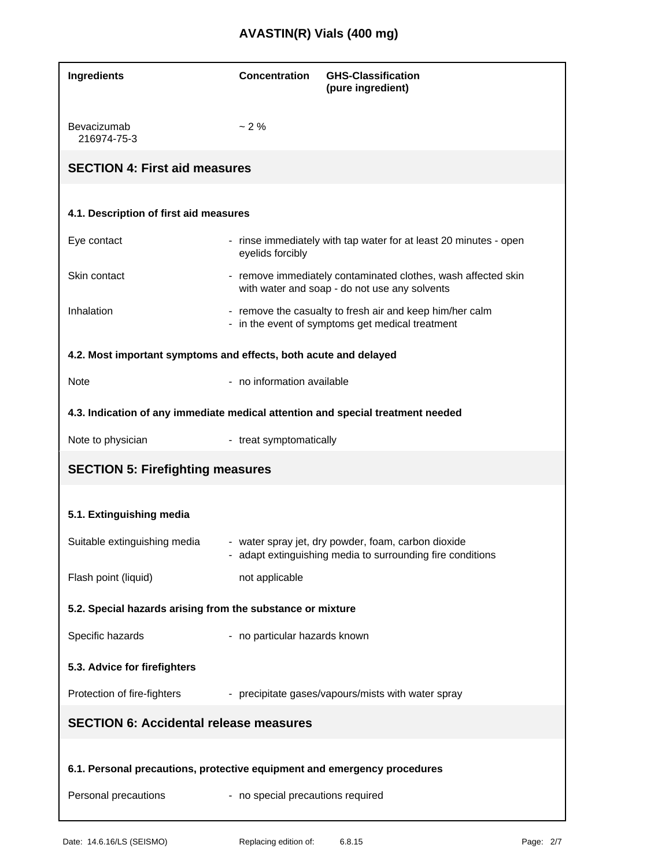## **AVASTIN(R) Vials (400 mg)**

| Ingredients                                                                     | <b>Concentration</b>              | <b>GHS-Classification</b><br>(pure ingredient)                                                                    |
|---------------------------------------------------------------------------------|-----------------------------------|-------------------------------------------------------------------------------------------------------------------|
| Bevacizumab<br>216974-75-3                                                      | ~2%                               |                                                                                                                   |
| <b>SECTION 4: First aid measures</b>                                            |                                   |                                                                                                                   |
| 4.1. Description of first aid measures                                          |                                   |                                                                                                                   |
| Eye contact                                                                     | eyelids forcibly                  | - rinse immediately with tap water for at least 20 minutes - open                                                 |
| Skin contact                                                                    |                                   | - remove immediately contaminated clothes, wash affected skin<br>with water and soap - do not use any solvents    |
| Inhalation                                                                      |                                   | - remove the casualty to fresh air and keep him/her calm<br>- in the event of symptoms get medical treatment      |
| 4.2. Most important symptoms and effects, both acute and delayed                |                                   |                                                                                                                   |
| <b>Note</b>                                                                     | - no information available        |                                                                                                                   |
| 4.3. Indication of any immediate medical attention and special treatment needed |                                   |                                                                                                                   |
| Note to physician                                                               | - treat symptomatically           |                                                                                                                   |
| <b>SECTION 5: Firefighting measures</b>                                         |                                   |                                                                                                                   |
|                                                                                 |                                   |                                                                                                                   |
| 5.1. Extinguishing media                                                        |                                   |                                                                                                                   |
| Suitable extinguishing media                                                    |                                   | - water spray jet, dry powder, foam, carbon dioxide<br>- adapt extinguishing media to surrounding fire conditions |
| Flash point (liquid)                                                            | not applicable                    |                                                                                                                   |
| 5.2. Special hazards arising from the substance or mixture                      |                                   |                                                                                                                   |
| Specific hazards                                                                | - no particular hazards known     |                                                                                                                   |
| 5.3. Advice for firefighters                                                    |                                   |                                                                                                                   |
| Protection of fire-fighters                                                     |                                   | - precipitate gases/vapours/mists with water spray                                                                |
| <b>SECTION 6: Accidental release measures</b>                                   |                                   |                                                                                                                   |
|                                                                                 |                                   |                                                                                                                   |
| 6.1. Personal precautions, protective equipment and emergency procedures        |                                   |                                                                                                                   |
| Personal precautions                                                            | - no special precautions required |                                                                                                                   |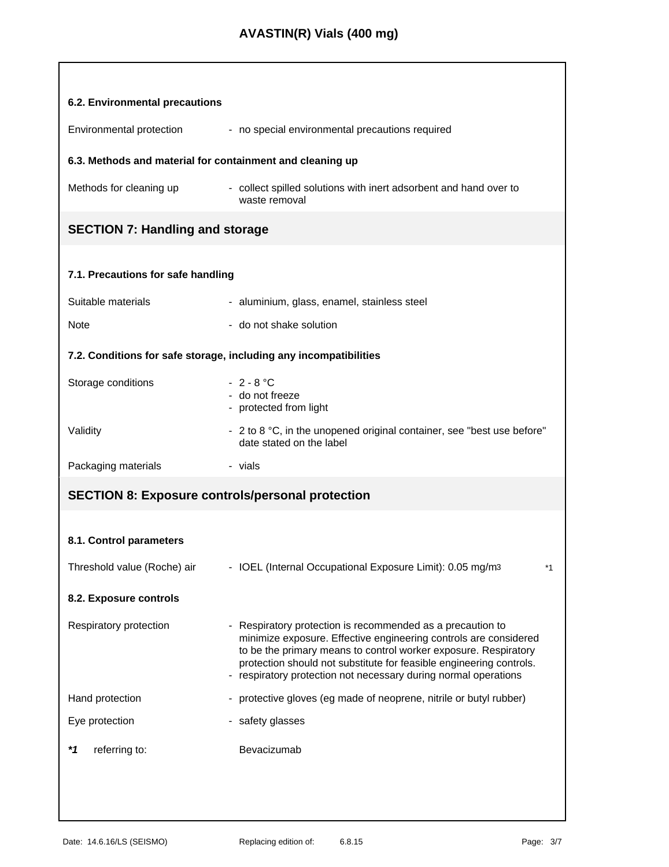| 6.2. Environmental precautions                                    |                                                                                                                                                                                                                                                                                                                                             |  |  |
|-------------------------------------------------------------------|---------------------------------------------------------------------------------------------------------------------------------------------------------------------------------------------------------------------------------------------------------------------------------------------------------------------------------------------|--|--|
| <b>Environmental protection</b>                                   | - no special environmental precautions required                                                                                                                                                                                                                                                                                             |  |  |
| 6.3. Methods and material for containment and cleaning up         |                                                                                                                                                                                                                                                                                                                                             |  |  |
| Methods for cleaning up                                           | - collect spilled solutions with inert adsorbent and hand over to<br>waste removal                                                                                                                                                                                                                                                          |  |  |
| <b>SECTION 7: Handling and storage</b>                            |                                                                                                                                                                                                                                                                                                                                             |  |  |
| 7.1. Precautions for safe handling                                |                                                                                                                                                                                                                                                                                                                                             |  |  |
| Suitable materials                                                | - aluminium, glass, enamel, stainless steel                                                                                                                                                                                                                                                                                                 |  |  |
| <b>Note</b>                                                       | - do not shake solution                                                                                                                                                                                                                                                                                                                     |  |  |
| 7.2. Conditions for safe storage, including any incompatibilities |                                                                                                                                                                                                                                                                                                                                             |  |  |
| Storage conditions                                                | $-2 - 8 °C$<br>- do not freeze<br>- protected from light                                                                                                                                                                                                                                                                                    |  |  |
| Validity                                                          | - 2 to 8 °C, in the unopened original container, see "best use before"<br>date stated on the label                                                                                                                                                                                                                                          |  |  |
| Packaging materials                                               | - vials                                                                                                                                                                                                                                                                                                                                     |  |  |
| <b>SECTION 8: Exposure controls/personal protection</b>           |                                                                                                                                                                                                                                                                                                                                             |  |  |
| 8.1. Control parameters                                           |                                                                                                                                                                                                                                                                                                                                             |  |  |
| Threshold value (Roche) air                                       | - IOEL (Internal Occupational Exposure Limit): 0.05 mg/m3<br>*1                                                                                                                                                                                                                                                                             |  |  |
| 8.2. Exposure controls                                            |                                                                                                                                                                                                                                                                                                                                             |  |  |
| Respiratory protection                                            | - Respiratory protection is recommended as a precaution to<br>minimize exposure. Effective engineering controls are considered<br>to be the primary means to control worker exposure. Respiratory<br>protection should not substitute for feasible engineering controls.<br>- respiratory protection not necessary during normal operations |  |  |
| Hand protection                                                   | - protective gloves (eg made of neoprene, nitrile or butyl rubber)                                                                                                                                                                                                                                                                          |  |  |
| Eye protection                                                    | - safety glasses                                                                                                                                                                                                                                                                                                                            |  |  |
| *1<br>referring to:                                               | Bevacizumab                                                                                                                                                                                                                                                                                                                                 |  |  |
|                                                                   |                                                                                                                                                                                                                                                                                                                                             |  |  |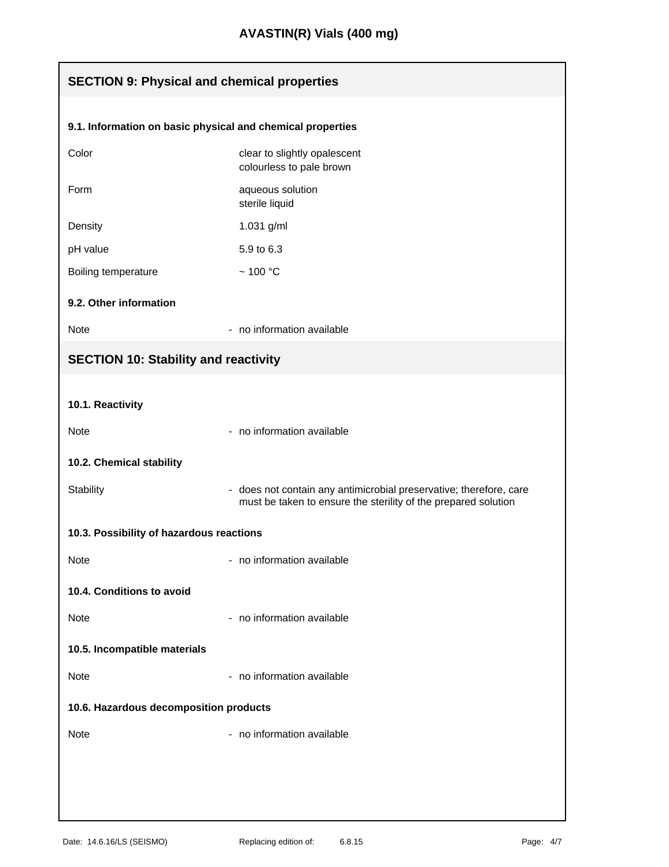| <b>SECTION 9: Physical and chemical properties</b>         |                                                                                                                                      |  |
|------------------------------------------------------------|--------------------------------------------------------------------------------------------------------------------------------------|--|
| 9.1. Information on basic physical and chemical properties |                                                                                                                                      |  |
| Color                                                      |                                                                                                                                      |  |
|                                                            | clear to slightly opalescent<br>colourless to pale brown                                                                             |  |
| Form                                                       | aqueous solution<br>sterile liquid                                                                                                   |  |
| Density                                                    | 1.031 g/ml                                                                                                                           |  |
| pH value                                                   | 5.9 to 6.3                                                                                                                           |  |
| Boiling temperature                                        | $~100~^{\circ}$ C                                                                                                                    |  |
| 9.2. Other information                                     |                                                                                                                                      |  |
| Note                                                       | - no information available                                                                                                           |  |
| <b>SECTION 10: Stability and reactivity</b>                |                                                                                                                                      |  |
|                                                            |                                                                                                                                      |  |
| 10.1. Reactivity                                           |                                                                                                                                      |  |
| Note                                                       | - no information available                                                                                                           |  |
| 10.2. Chemical stability                                   |                                                                                                                                      |  |
| <b>Stability</b>                                           | - does not contain any antimicrobial preservative; therefore, care<br>must be taken to ensure the sterility of the prepared solution |  |
| 10.3. Possibility of hazardous reactions                   |                                                                                                                                      |  |
| Note                                                       | - no information available                                                                                                           |  |
| 10.4. Conditions to avoid                                  |                                                                                                                                      |  |
| Note                                                       | - no information available                                                                                                           |  |
| 10.5. Incompatible materials                               |                                                                                                                                      |  |
| <b>Note</b>                                                | - no information available                                                                                                           |  |
| 10.6. Hazardous decomposition products                     |                                                                                                                                      |  |
| Note                                                       | - no information available                                                                                                           |  |
|                                                            |                                                                                                                                      |  |
|                                                            |                                                                                                                                      |  |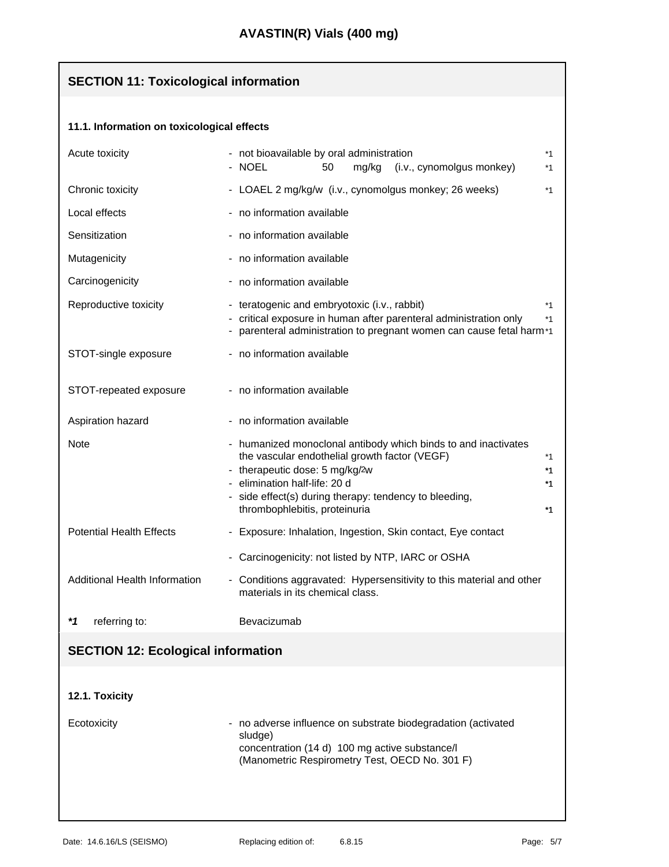## **SECTION 11: Toxicological information**

## **11.1. Information on toxicological effects**

| Acute toxicity                            | - not bioavailable by oral administration<br>*1<br>- NOEL<br>mg/kg<br>50<br>(i.v., cynomolgus monkey)<br>$*1$                                                                                                                                                                                       |
|-------------------------------------------|-----------------------------------------------------------------------------------------------------------------------------------------------------------------------------------------------------------------------------------------------------------------------------------------------------|
| Chronic toxicity                          | - LOAEL 2 mg/kg/w (i.v., cynomolgus monkey; 26 weeks)<br>$*1$                                                                                                                                                                                                                                       |
| Local effects                             | - no information available                                                                                                                                                                                                                                                                          |
| Sensitization                             | - no information available                                                                                                                                                                                                                                                                          |
| Mutagenicity                              | - no information available                                                                                                                                                                                                                                                                          |
| Carcinogenicity                           | - no information available                                                                                                                                                                                                                                                                          |
| Reproductive toxicity                     | - teratogenic and embryotoxic (i.v., rabbit)<br>$*1$<br>critical exposure in human after parenteral administration only<br>$*1$<br>parenteral administration to pregnant women can cause fetal harm*1                                                                                               |
| STOT-single exposure                      | - no information available                                                                                                                                                                                                                                                                          |
| STOT-repeated exposure                    | - no information available                                                                                                                                                                                                                                                                          |
| Aspiration hazard                         | - no information available                                                                                                                                                                                                                                                                          |
| <b>Note</b>                               | - humanized monoclonal antibody which binds to and inactivates<br>the vascular endothelial growth factor (VEGF)<br>*1<br>- therapeutic dose: 5 mg/kg/2w<br>*1<br>- elimination half-life: 20 d<br>*1<br>side effect(s) during therapy: tendency to bleeding,<br>thrombophlebitis, proteinuria<br>*1 |
| <b>Potential Health Effects</b>           | - Exposure: Inhalation, Ingestion, Skin contact, Eye contact                                                                                                                                                                                                                                        |
|                                           | - Carcinogenicity: not listed by NTP, IARC or OSHA                                                                                                                                                                                                                                                  |
| <b>Additional Health Information</b>      | - Conditions aggravated: Hypersensitivity to this material and other<br>materials in its chemical class.                                                                                                                                                                                            |
| *1<br>referring to:                       | Bevacizumab                                                                                                                                                                                                                                                                                         |
| <b>SECTION 12: Ecological information</b> |                                                                                                                                                                                                                                                                                                     |
|                                           |                                                                                                                                                                                                                                                                                                     |
| 12.1. Toxicity                            |                                                                                                                                                                                                                                                                                                     |
| Ecotoxicity                               | - no adverse influence on substrate biodegradation (activated<br>sludge)<br>concentration (14 d) 100 mg active substance/l<br>(Manometric Respirometry Test, OECD No. 301 F)                                                                                                                        |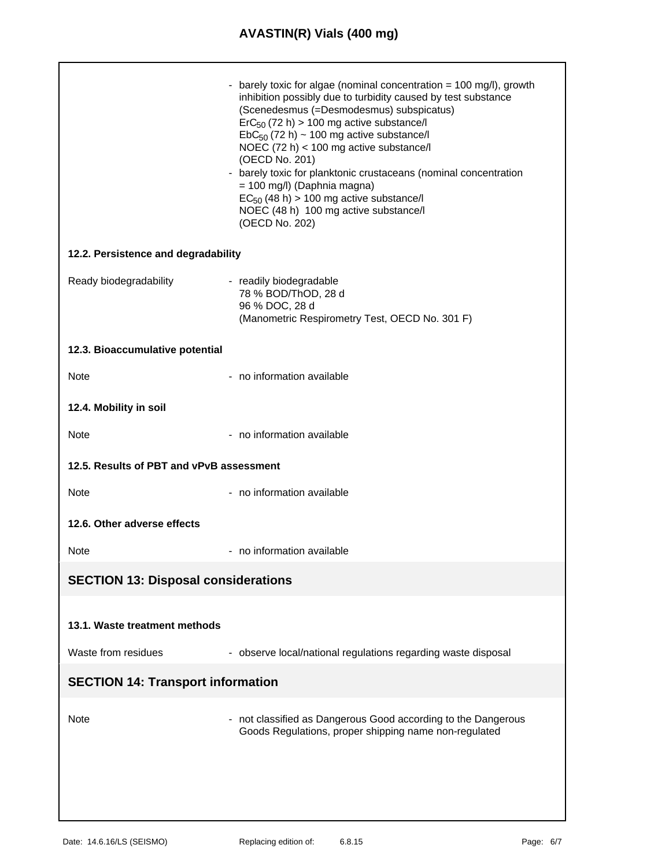## **AVASTIN(R) Vials (400 mg)**

|                                            | barely toxic for algae (nominal concentration $= 100$ mg/l), growth<br>inhibition possibly due to turbidity caused by test substance<br>(Scenedesmus (=Desmodesmus) subspicatus)<br>$\text{ErC}_{50}$ (72 h) > 100 mg active substance/l<br>$EbC_{50}$ (72 h) ~ 100 mg active substance/l<br>NOEC (72 h) < 100 mg active substance/l<br>(OECD No. 201)<br>- barely toxic for planktonic crustaceans (nominal concentration<br>= 100 mg/l) (Daphnia magna)<br>$EC_{50}$ (48 h) > 100 mg active substance/l<br>NOEC (48 h) 100 mg active substance/l<br>(OECD No. 202) |  |
|--------------------------------------------|----------------------------------------------------------------------------------------------------------------------------------------------------------------------------------------------------------------------------------------------------------------------------------------------------------------------------------------------------------------------------------------------------------------------------------------------------------------------------------------------------------------------------------------------------------------------|--|
| 12.2. Persistence and degradability        |                                                                                                                                                                                                                                                                                                                                                                                                                                                                                                                                                                      |  |
| Ready biodegradability                     | - readily biodegradable<br>78 % BOD/ThOD, 28 d<br>96 % DOC, 28 d<br>(Manometric Respirometry Test, OECD No. 301 F)                                                                                                                                                                                                                                                                                                                                                                                                                                                   |  |
| 12.3. Bioaccumulative potential            |                                                                                                                                                                                                                                                                                                                                                                                                                                                                                                                                                                      |  |
| <b>Note</b>                                | - no information available                                                                                                                                                                                                                                                                                                                                                                                                                                                                                                                                           |  |
| 12.4. Mobility in soil                     |                                                                                                                                                                                                                                                                                                                                                                                                                                                                                                                                                                      |  |
| Note                                       | - no information available                                                                                                                                                                                                                                                                                                                                                                                                                                                                                                                                           |  |
| 12.5. Results of PBT and vPvB assessment   |                                                                                                                                                                                                                                                                                                                                                                                                                                                                                                                                                                      |  |
| <b>Note</b>                                | - no information available                                                                                                                                                                                                                                                                                                                                                                                                                                                                                                                                           |  |
| 12.6. Other adverse effects                |                                                                                                                                                                                                                                                                                                                                                                                                                                                                                                                                                                      |  |
| Note                                       | - no information available                                                                                                                                                                                                                                                                                                                                                                                                                                                                                                                                           |  |
| <b>SECTION 13: Disposal considerations</b> |                                                                                                                                                                                                                                                                                                                                                                                                                                                                                                                                                                      |  |
| 13.1. Waste treatment methods              |                                                                                                                                                                                                                                                                                                                                                                                                                                                                                                                                                                      |  |
| Waste from residues                        | - observe local/national regulations regarding waste disposal                                                                                                                                                                                                                                                                                                                                                                                                                                                                                                        |  |
| <b>SECTION 14: Transport information</b>   |                                                                                                                                                                                                                                                                                                                                                                                                                                                                                                                                                                      |  |
| <b>Note</b>                                | - not classified as Dangerous Good according to the Dangerous<br>Goods Regulations, proper shipping name non-regulated                                                                                                                                                                                                                                                                                                                                                                                                                                               |  |